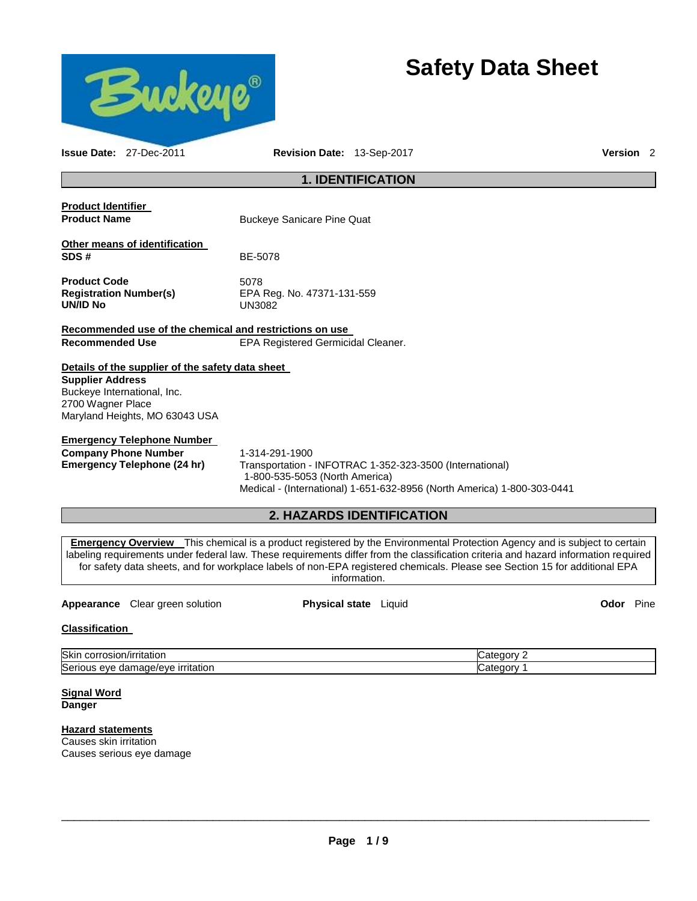

# **Safety Data Sheet**

| <b>Issue Date: 27-Dec-2011</b>                                                                                                                                    | Revision Date: 13-Sep-2017                                                                                                                                                                                                                                                                                                                                                                                            | Version <sub>2</sub> |  |
|-------------------------------------------------------------------------------------------------------------------------------------------------------------------|-----------------------------------------------------------------------------------------------------------------------------------------------------------------------------------------------------------------------------------------------------------------------------------------------------------------------------------------------------------------------------------------------------------------------|----------------------|--|
| <b>1. IDENTIFICATION</b>                                                                                                                                          |                                                                                                                                                                                                                                                                                                                                                                                                                       |                      |  |
| <b>Product Identifier</b><br><b>Product Name</b>                                                                                                                  | <b>Buckeye Sanicare Pine Quat</b>                                                                                                                                                                                                                                                                                                                                                                                     |                      |  |
| Other means of identification<br>SDS#                                                                                                                             | BE-5078                                                                                                                                                                                                                                                                                                                                                                                                               |                      |  |
| <b>Product Code</b><br><b>Registration Number(s)</b><br><b>UN/ID No</b>                                                                                           | 5078<br>EPA Reg. No. 47371-131-559<br><b>UN3082</b>                                                                                                                                                                                                                                                                                                                                                                   |                      |  |
| Recommended use of the chemical and restrictions on use<br><b>Recommended Use</b>                                                                                 | EPA Registered Germicidal Cleaner.                                                                                                                                                                                                                                                                                                                                                                                    |                      |  |
| Details of the supplier of the safety data sheet<br><b>Supplier Address</b><br>Buckeye International, Inc.<br>2700 Wagner Place<br>Maryland Heights, MO 63043 USA |                                                                                                                                                                                                                                                                                                                                                                                                                       |                      |  |
| <b>Emergency Telephone Number</b><br><b>Company Phone Number</b><br><b>Emergency Telephone (24 hr)</b>                                                            | 1-314-291-1900<br>Transportation - INFOTRAC 1-352-323-3500 (International)<br>1-800-535-5053 (North America)<br>Medical - (International) 1-651-632-8956 (North America) 1-800-303-0441                                                                                                                                                                                                                               |                      |  |
|                                                                                                                                                                   | <b>2. HAZARDS IDENTIFICATION</b>                                                                                                                                                                                                                                                                                                                                                                                      |                      |  |
|                                                                                                                                                                   | <b>Emergency Overview</b> This chemical is a product registered by the Environmental Protection Agency and is subject to certain<br>labeling requirements under federal law. These requirements differ from the classification criteria and hazard information required<br>for safety data sheets, and for workplace labels of non-EPA registered chemicals. Please see Section 15 for additional EPA<br>information. |                      |  |

#### **Appearance** Clear green solution **Physical state** Liquid **Odor** Pine

#### **Classification**

| <b>Skir</b><br>ı/ırrıtatıor<br>-JOFF<br>usiui<br>.                                     | ונזר     |
|----------------------------------------------------------------------------------------|----------|
| <b>urritation</b><br><b>Seri</b><br>$\cdots$<br>eve<br>nade/eve<br>uai<br><br>$\cdots$ | аt<br>ונ |

#### **Signal Word Danger**

## **Hazard statements**

Causes skin irritation Causes serious eye damage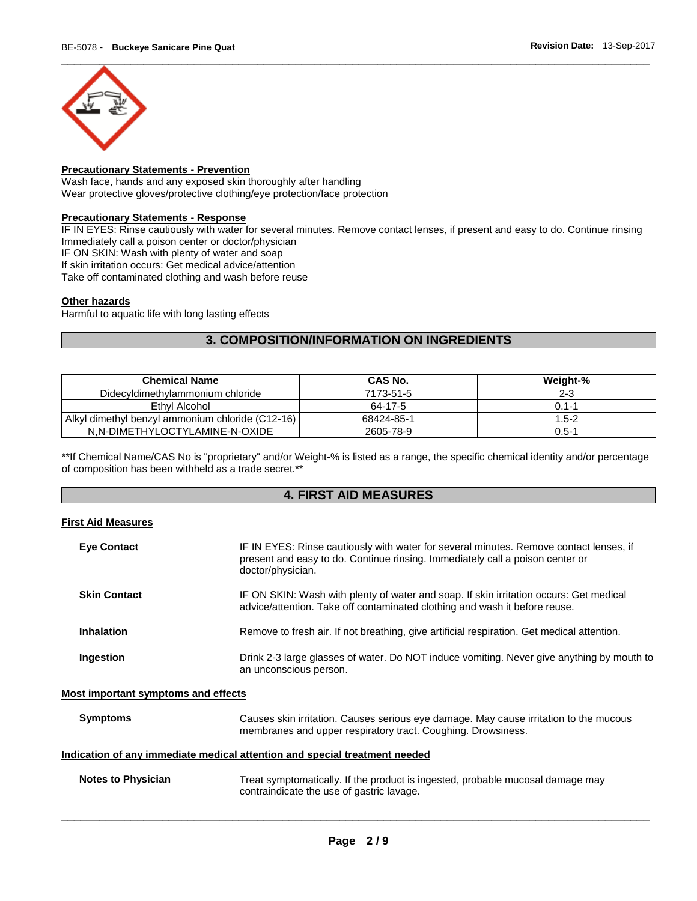

#### **Precautionary Statements - Prevention**

Wash face, hands and any exposed skin thoroughly after handling Wear protective gloves/protective clothing/eye protection/face protection

#### **Precautionary Statements - Response**

IF IN EYES: Rinse cautiously with water for several minutes. Remove contact lenses, if present and easy to do. Continue rinsing Immediately call a poison center or doctor/physician

IF ON SKIN: Wash with plenty of water and soap

If skin irritation occurs: Get medical advice/attention

Take off contaminated clothing and wash before reuse

#### **Other hazards**

Harmful to aquatic life with long lasting effects

## **3. COMPOSITION/INFORMATION ON INGREDIENTS**

| <b>Chemical Name</b>                             | CAS No.    | Weight-%  |
|--------------------------------------------------|------------|-----------|
| Didecyldimethylammonium chloride                 | 7173-51-5  | $2 - 3$   |
| Ethyl Alcohol                                    | 64-17-5    | $0.1 - 1$ |
| Alkyl dimethyl benzyl ammonium chloride (C12-16) | 68424-85-1 | $1.5 - 2$ |
| N.N-DIMETHYLOCTYLAMINE-N-OXIDE                   | 2605-78-9  | $0.5 - 1$ |

\*\*If Chemical Name/CAS No is "proprietary" and/or Weight-% is listed as a range, the specific chemical identity and/or percentage of composition has been withheld as a trade secret.\*\*

### **4. FIRST AID MEASURES**

#### **First Aid Measures**

| <b>Eye Contact</b>                                                         | IF IN EYES: Rinse cautiously with water for several minutes. Remove contact lenses, if<br>present and easy to do. Continue rinsing. Immediately call a poison center or<br>doctor/physician. |  |  |
|----------------------------------------------------------------------------|----------------------------------------------------------------------------------------------------------------------------------------------------------------------------------------------|--|--|
| <b>Skin Contact</b>                                                        | IF ON SKIN: Wash with plenty of water and soap. If skin irritation occurs: Get medical<br>advice/attention. Take off contaminated clothing and wash it before reuse.                         |  |  |
| <b>Inhalation</b>                                                          | Remove to fresh air. If not breathing, give artificial respiration. Get medical attention.                                                                                                   |  |  |
| Ingestion                                                                  | Drink 2-3 large glasses of water. Do NOT induce vomiting. Never give anything by mouth to<br>an unconscious person.                                                                          |  |  |
| Most important symptoms and effects                                        |                                                                                                                                                                                              |  |  |
| <b>Symptoms</b>                                                            | Causes skin irritation. Causes serious eye damage. May cause irritation to the mucous<br>membranes and upper respiratory tract. Coughing. Drowsiness.                                        |  |  |
| Indication of any immediate medical attention and special treatment needed |                                                                                                                                                                                              |  |  |
| <b>Notes to Physician</b>                                                  | Treat symptomatically. If the product is ingested, probable mucosal damage may<br>contraindicate the use of gastric lavage.                                                                  |  |  |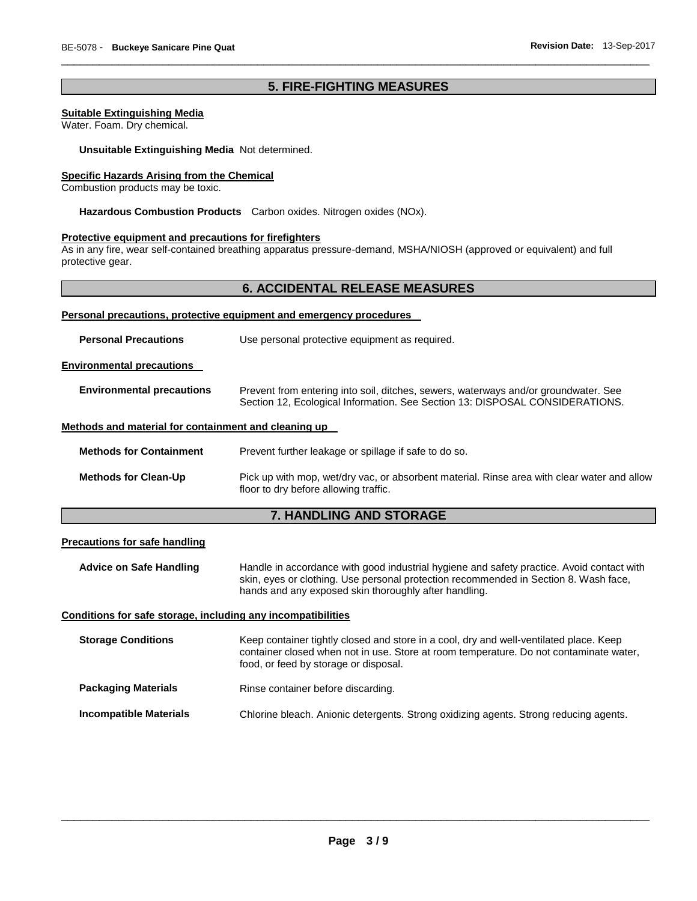## **5. FIRE-FIGHTING MEASURES**

\_\_\_\_\_\_\_\_\_\_\_\_\_\_\_\_\_\_\_\_\_\_\_\_\_\_\_\_\_\_\_\_\_\_\_\_\_\_\_\_\_\_\_\_\_\_\_\_\_\_\_\_\_\_\_\_\_\_\_\_\_\_\_\_\_\_\_\_\_\_\_\_\_\_\_\_\_\_\_\_\_\_\_\_\_\_\_\_\_\_\_\_\_

#### **Suitable Extinguishing Media**

Water. Foam. Dry chemical.

**Unsuitable Extinguishing Media** Not determined.

#### **Specific Hazards Arising from the Chemical**

Combustion products may be toxic.

**Hazardous Combustion Products** Carbon oxides. Nitrogen oxides (NOx).

#### **Protective equipment and precautions for firefighters**

As in any fire, wear self-contained breathing apparatus pressure-demand, MSHA/NIOSH (approved or equivalent) and full protective gear.

#### **6. ACCIDENTAL RELEASE MEASURES**

| Personal precautions, protective equipment and emergency procedures |                                                                                                                                                                     |  |  |
|---------------------------------------------------------------------|---------------------------------------------------------------------------------------------------------------------------------------------------------------------|--|--|
| <b>Personal Precautions</b>                                         | Use personal protective equipment as required.                                                                                                                      |  |  |
| <b>Environmental precautions</b>                                    |                                                                                                                                                                     |  |  |
| <b>Environmental precautions</b>                                    | Prevent from entering into soil, ditches, sewers, waterways and/or groundwater. See<br>Section 12, Ecological Information. See Section 13: DISPOSAL CONSIDERATIONS. |  |  |
| Methods and material for containment and cleaning up                |                                                                                                                                                                     |  |  |
| <b>Methods for Containment</b>                                      | Prevent further leakage or spillage if safe to do so.                                                                                                               |  |  |
| <b>Methods for Clean-Up</b>                                         | Pick up with mop, wet/dry vac, or absorbent material. Rinse area with clear water and allow<br>floor to dry before allowing traffic.                                |  |  |

## **7. HANDLING AND STORAGE**

#### **Precautions for safe handling**

**Advice on Safe Handling** Handle in accordance with good industrial hygiene and safety practice. Avoid contact with skin, eyes or clothing. Use personal protection recommended in Section 8. Wash face, hands and any exposed skin thoroughly after handling.

#### **Conditions for safe storage, including any incompatibilities**

| <b>Storage Conditions</b>     | Keep container tightly closed and store in a cool, dry and well-ventilated place. Keep<br>container closed when not in use. Store at room temperature. Do not contaminate water,<br>food, or feed by storage or disposal. |
|-------------------------------|---------------------------------------------------------------------------------------------------------------------------------------------------------------------------------------------------------------------------|
| <b>Packaging Materials</b>    | Rinse container before discarding.                                                                                                                                                                                        |
| <b>Incompatible Materials</b> | Chlorine bleach. Anionic detergents. Strong oxidizing agents. Strong reducing agents.                                                                                                                                     |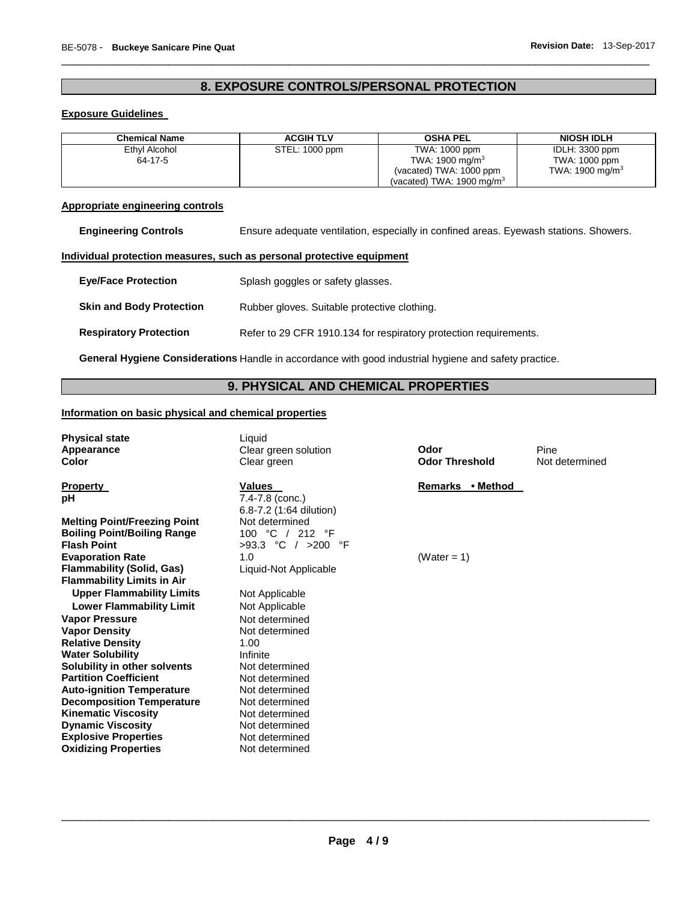## **8. EXPOSURE CONTROLS/PERSONAL PROTECTION**

\_\_\_\_\_\_\_\_\_\_\_\_\_\_\_\_\_\_\_\_\_\_\_\_\_\_\_\_\_\_\_\_\_\_\_\_\_\_\_\_\_\_\_\_\_\_\_\_\_\_\_\_\_\_\_\_\_\_\_\_\_\_\_\_\_\_\_\_\_\_\_\_\_\_\_\_\_\_\_\_\_\_\_\_\_\_\_\_\_\_\_\_\_

#### **Exposure Guidelines**

| <b>Chemical Name</b> | <b>ACGIH TLV</b> | <b>OSHA PEL</b>                      | NIOSH IDLH         |
|----------------------|------------------|--------------------------------------|--------------------|
| Ethyl Alcohol        | STEL: 1000 ppm   | TWA: 1000 ppm                        | IDLH: 3300 ppm     |
| 64-17-5              |                  | TWA: 1900 mg/m $3$                   | TWA: 1000 ppm      |
|                      |                  | (vacated) TWA: 1000 ppm              | TWA: 1900 mg/m $3$ |
|                      |                  | (vacated) TWA: $1900 \text{ mg/m}^3$ |                    |

## **Appropriate engineering controls**

**Engineering Controls** Ensure adequate ventilation, especially in confined areas. Eyewash stations. Showers.

#### **Individual protection measures, such as personal protective equipment**

| <b>Eve/Face Protection</b>      | Splash goggles or safety glasses.                                 |
|---------------------------------|-------------------------------------------------------------------|
| <b>Skin and Body Protection</b> | Rubber gloves. Suitable protective clothing.                      |
| <b>Respiratory Protection</b>   | Refer to 29 CFR 1910.134 for respiratory protection requirements. |

**General Hygiene Considerations** Handle in accordance with good industrial hygiene and safety practice.

## **9. PHYSICAL AND CHEMICAL PROPERTIES**

## **Information on basic physical and chemical properties**

| <b>Physical state</b><br>Appearance<br>Color                          | Liquid<br>Clear green solution<br>Clear green                   | Odor<br><b>Odor Threshold</b> | Pine<br>Not determined |
|-----------------------------------------------------------------------|-----------------------------------------------------------------|-------------------------------|------------------------|
| <b>Property</b><br>pH                                                 | <b>Values</b><br>$7.4 - 7.8$ (conc.)<br>6.8-7.2 (1:64 dilution) | Remarks • Method              |                        |
| <b>Melting Point/Freezing Point</b>                                   | Not determined                                                  |                               |                        |
| <b>Boiling Point/Boiling Range</b>                                    | 100 °C / 212 °F                                                 |                               |                        |
| <b>Flash Point</b>                                                    | $>93.3$ °C / $>200$<br>°F                                       |                               |                        |
| <b>Evaporation Rate</b>                                               | 1.0                                                             | (Water = 1)                   |                        |
| <b>Flammability (Solid, Gas)</b><br><b>Flammability Limits in Air</b> | Liquid-Not Applicable                                           |                               |                        |
| <b>Upper Flammability Limits</b>                                      | Not Applicable                                                  |                               |                        |
| <b>Lower Flammability Limit</b>                                       | Not Applicable                                                  |                               |                        |
| <b>Vapor Pressure</b>                                                 | Not determined                                                  |                               |                        |
| <b>Vapor Density</b>                                                  | Not determined                                                  |                               |                        |
| <b>Relative Density</b>                                               | 1.00                                                            |                               |                        |
| <b>Water Solubility</b>                                               | Infinite                                                        |                               |                        |
| Solubility in other solvents                                          | Not determined                                                  |                               |                        |
| <b>Partition Coefficient</b>                                          | Not determined                                                  |                               |                        |
| <b>Auto-ignition Temperature</b>                                      | Not determined                                                  |                               |                        |
| <b>Decomposition Temperature</b>                                      | Not determined                                                  |                               |                        |
| <b>Kinematic Viscosity</b>                                            | Not determined                                                  |                               |                        |
| <b>Dynamic Viscosity</b>                                              | Not determined                                                  |                               |                        |
| <b>Explosive Properties</b>                                           | Not determined                                                  |                               |                        |
| <b>Oxidizing Properties</b>                                           | Not determined                                                  |                               |                        |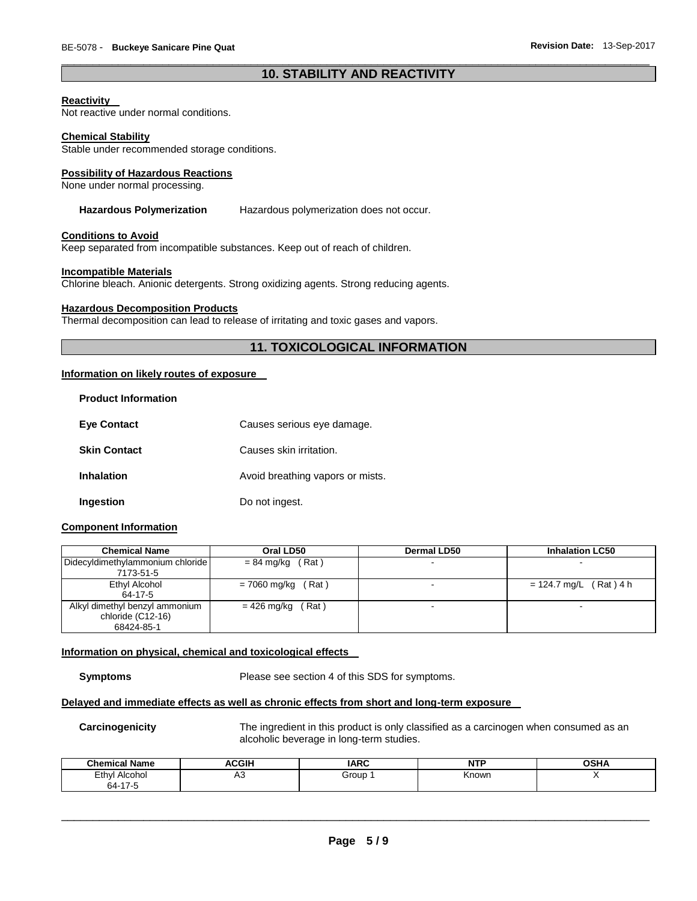#### \_\_\_\_\_\_\_\_\_\_\_\_\_\_\_\_\_\_\_\_\_\_\_\_\_\_\_\_\_\_\_\_\_\_\_\_\_\_\_\_\_\_\_\_\_\_\_\_\_\_\_\_\_\_\_\_\_\_\_\_\_\_\_\_\_\_\_\_\_\_\_\_\_\_\_\_\_\_\_\_\_\_\_\_\_\_\_\_\_\_\_\_\_ **10. STABILITY AND REACTIVITY**

#### **Reactivity**

Not reactive under normal conditions.

#### **Chemical Stability**

Stable under recommended storage conditions.

#### **Possibility of Hazardous Reactions**

None under normal processing.

#### **Hazardous Polymerization** Hazardous polymerization does not occur.

#### **Conditions to Avoid**

Keep separated from incompatible substances. Keep out of reach of children.

#### **Incompatible Materials**

Chlorine bleach. Anionic detergents. Strong oxidizing agents. Strong reducing agents.

#### **Hazardous Decomposition Products**

Thermal decomposition can lead to release of irritating and toxic gases and vapors.

## **11. TOXICOLOGICAL INFORMATION**

#### **Information on likely routes of exposure**

| <b>Product Information</b> |                                  |
|----------------------------|----------------------------------|
| <b>Eve Contact</b>         | Causes serious eye damage.       |
| <b>Skin Contact</b>        | Causes skin irritation.          |
| <b>Inhalation</b>          | Avoid breathing vapors or mists. |
| Ingestion                  | Do not ingest.                   |

#### **Component Information**

| <b>Chemical Name</b>             | Oral LD50             | <b>Dermal LD50</b> | <b>Inhalation LC50</b>   |
|----------------------------------|-----------------------|--------------------|--------------------------|
| Didecyldimethylammonium chloride | $= 84$ mg/kg (Rat)    |                    |                          |
| 7173-51-5                        |                       |                    |                          |
| Ethyl Alcohol                    | (Rat)<br>= 7060 mg/kg |                    | $= 124.7$ mg/L (Rat) 4 h |
| 64-17-5                          |                       |                    |                          |
| Alkyl dimethyl benzyl ammonium   | Rat)<br>= 426 mg/kg   |                    | -                        |
| chloride (C12-16)                |                       |                    |                          |
| 68424-85-1                       |                       |                    |                          |

#### **Information on physical, chemical and toxicological effects**

**Symptoms** Please see section 4 of this SDS for symptoms.

#### **Delayed and immediate effects as well as chronic effects from short and long-term exposure**

**Carcinogenicity** The ingredient in this product is only classified as a carcinogen when consumed as an alcoholic beverage in long-term studies.

| <b>Chemical Name</b>     | <b>ACGIH</b> | <b>IARC</b> | .<br>. | <b>OSHA</b> |
|--------------------------|--------------|-------------|--------|-------------|
| Ethyl<br>Alcohol<br>-    | ่∼           | Group       | Known  |             |
| 64-17<br>$\cdot$ $\cdot$ |              |             |        |             |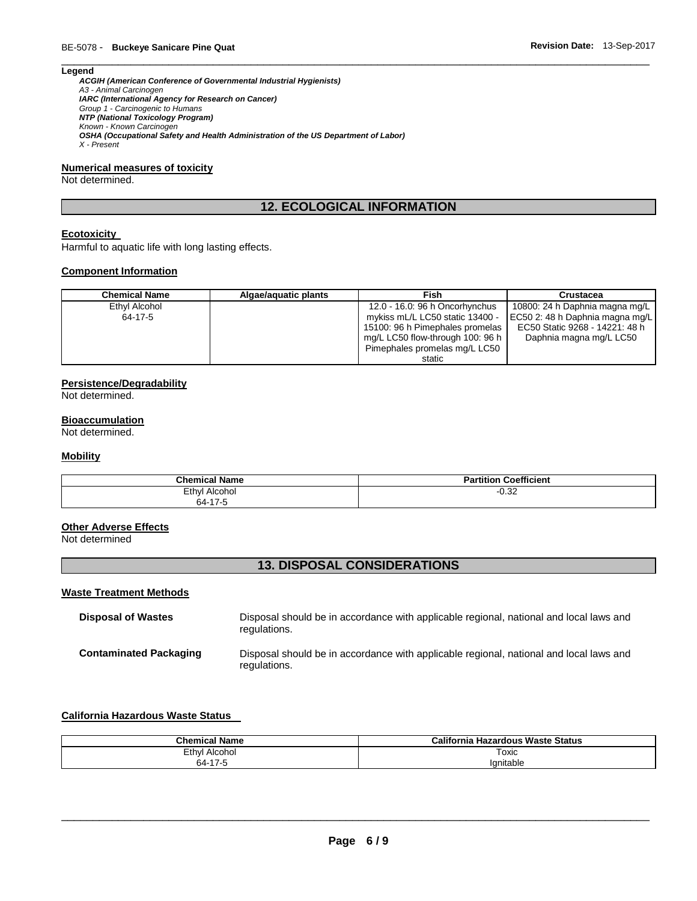#### **Legend**

*ACGIH (American Conference of Governmental Industrial Hygienists) A3 - Animal Carcinogen IARC (International Agency for Research on Cancer) Group 1 - Carcinogenic to Humans NTP (National Toxicology Program) Known - Known Carcinogen OSHA (Occupational Safety and Health Administration of the US Department of Labor) X - Present* 

#### **Numerical measures of toxicity**

Not determined.

## **12. ECOLOGICAL INFORMATION**

\_\_\_\_\_\_\_\_\_\_\_\_\_\_\_\_\_\_\_\_\_\_\_\_\_\_\_\_\_\_\_\_\_\_\_\_\_\_\_\_\_\_\_\_\_\_\_\_\_\_\_\_\_\_\_\_\_\_\_\_\_\_\_\_\_\_\_\_\_\_\_\_\_\_\_\_\_\_\_\_\_\_\_\_\_\_\_\_\_\_\_\_\_

#### **Ecotoxicity**

Harmful to aquatic life with long lasting effects.

#### **Component Information**

| <b>Chemical Name</b> | Algae/aguatic plants | Fish                             | Crustacea                       |
|----------------------|----------------------|----------------------------------|---------------------------------|
| Ethyl Alcohol        |                      | 12.0 - 16.0: 96 h Oncorhynchus   | 10800: 24 h Daphnia magna mg/L  |
| 64-17-5              |                      | mykiss mL/L LC50 static 13400 -  | EC50 2: 48 h Daphnia magna mg/L |
|                      |                      | 15100: 96 h Pimephales promelas  | EC50 Static 9268 - 14221: 48 h  |
|                      |                      | mg/L LC50 flow-through 100: 96 h | Daphnia magna mg/L LC50         |
|                      |                      | Pimephales promelas mg/L LC50    |                                 |
|                      |                      | static                           |                                 |

#### **Persistence/Degradability**

Not determined.

#### **Bioaccumulation**

Not determined.

#### **Mobility**

| <b>Chemica</b><br>' Name | <b>Coefficient</b>      |
|--------------------------|-------------------------|
| Ethyl<br>Alcohol         | 0 <sup>0</sup><br>-∪.ა∠ |
| 64-17-5                  |                         |

#### **Other Adverse Effects**

Not determined

## **13. DISPOSAL CONSIDERATIONS**

#### **Waste Treatment Methods**

| <b>Disposal of Wastes</b>     | Disposal should be in accordance with applicable regional, national and local laws and<br>regulations. |
|-------------------------------|--------------------------------------------------------------------------------------------------------|
| <b>Contaminated Packaging</b> | Disposal should be in accordance with applicable regional, national and local laws and<br>regulations. |

### **California Hazardous Waste Status**

| Chamical Name                     | California<br>เ Hazardous Waste Status |
|-----------------------------------|----------------------------------------|
| Ethyl<br>Alcohol<br>$\sim$ $\sim$ | Toxic                                  |
| 477<br>64-                        | 'anitable                              |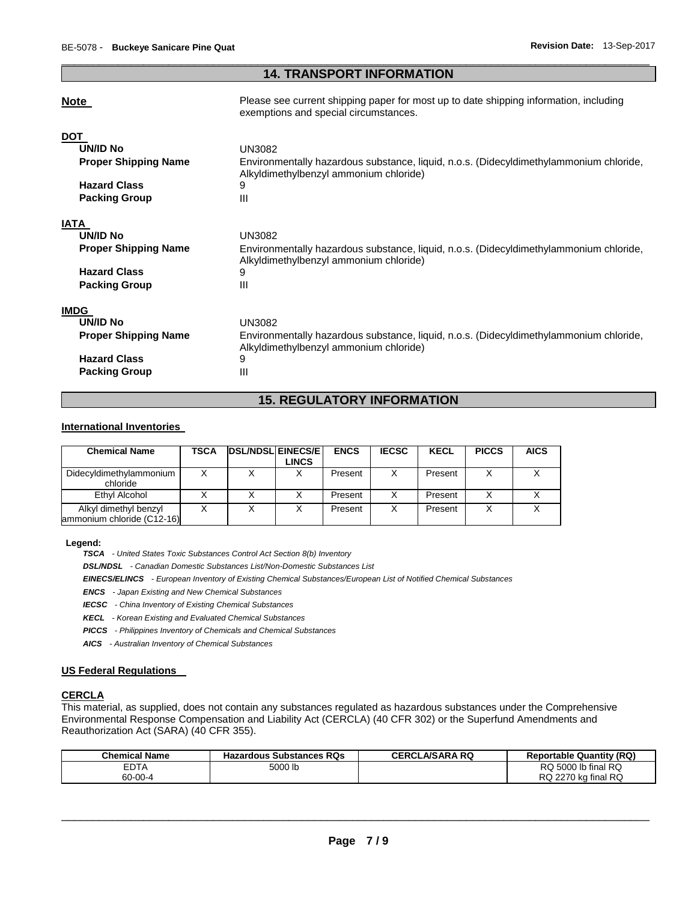#### \_\_\_\_\_\_\_\_\_\_\_\_\_\_\_\_\_\_\_\_\_\_\_\_\_\_\_\_\_\_\_\_\_\_\_\_\_\_\_\_\_\_\_\_\_\_\_\_\_\_\_\_\_\_\_\_\_\_\_\_\_\_\_\_\_\_\_\_\_\_\_\_\_\_\_\_\_\_\_\_\_\_\_\_\_\_\_\_\_\_\_\_\_ **14. TRANSPORT INFORMATION**

exemptions and special circumstances.

#### **Note Please see current shipping paper for most up to date shipping information, including**

|                             | exemptions and special circumstances.                                                                                            |
|-----------------------------|----------------------------------------------------------------------------------------------------------------------------------|
| <b>DOT</b>                  |                                                                                                                                  |
| UN/ID No                    | UN3082                                                                                                                           |
| <b>Proper Shipping Name</b> | Environmentally hazardous substance, liquid, n.o.s. (Didecyldimethylammonium chloride,<br>Alkyldimethylbenzyl ammonium chloride) |
| <b>Hazard Class</b>         | 9                                                                                                                                |
| <b>Packing Group</b>        | Ш                                                                                                                                |
| IATA                        |                                                                                                                                  |
| <b>UN/ID No</b>             | UN3082                                                                                                                           |
| <b>Proper Shipping Name</b> | Environmentally hazardous substance, liquid, n.o.s. (Didecyldimethylammonium chloride,<br>Alkyldimethylbenzyl ammonium chloride) |
| <b>Hazard Class</b>         | 9                                                                                                                                |
| <b>Packing Group</b>        | Ш                                                                                                                                |
| <b>IMDG</b>                 |                                                                                                                                  |
| <b>UN/ID No</b>             | <b>UN3082</b>                                                                                                                    |
| <b>Proper Shipping Name</b> | Environmentally hazardous substance, liquid, n.o.s. (Didecyldimethylammonium chloride,<br>Alkyldimethylbenzyl ammonium chloride) |
| <b>Hazard Class</b>         | 9                                                                                                                                |
| <b>Packing Group</b>        | Ш                                                                                                                                |

## **15. REGULATORY INFORMATION**

#### **International Inventories**

| <b>Chemical Name</b>                                | TSCA | <b>IDSL/NDSLIEINECS/EI</b> | LINCS | <b>ENCS</b> | <b>IECSC</b> | <b>KECL</b> | <b>PICCS</b> | <b>AICS</b> |
|-----------------------------------------------------|------|----------------------------|-------|-------------|--------------|-------------|--------------|-------------|
| Didecyldimethylammonium<br>chloride                 |      |                            |       | Present     |              | Present     |              |             |
| Ethyl Alcohol                                       |      |                            |       | Present     |              | Present     |              |             |
| Alkyl dimethyl benzyl<br>ammonium chloride (C12-16) |      |                            |       | Present     |              | Present     | X            |             |

**Legend:** 

*TSCA - United States Toxic Substances Control Act Section 8(b) Inventory* 

*DSL/NDSL - Canadian Domestic Substances List/Non-Domestic Substances List* 

*EINECS/ELINCS - European Inventory of Existing Chemical Substances/European List of Notified Chemical Substances* 

*ENCS - Japan Existing and New Chemical Substances* 

*IECSC - China Inventory of Existing Chemical Substances* 

*KECL - Korean Existing and Evaluated Chemical Substances* 

*PICCS - Philippines Inventory of Chemicals and Chemical Substances* 

*AICS - Australian Inventory of Chemical Substances* 

#### **US Federal Regulations**

#### **CERCLA**

This material, as supplied, does not contain any substances regulated as hazardous substances under the Comprehensive Environmental Response Compensation and Liability Act (CERCLA) (40 CFR 302) or the Superfund Amendments and Reauthorization Act (SARA) (40 CFR 355).

| <b>Chemical Name</b> | <b>Hazardous Substances RQs</b> | <b>CERCLA/SARA RQ</b> | <b>Reportable Quantity (RQ)</b> |
|----------------------|---------------------------------|-----------------------|---------------------------------|
| <b>EDTA</b>          | 5000 lb                         |                       | RQ 5000 lb final RQ             |
| 60-00-4              |                                 |                       | RQ 2270 kg final RQ             |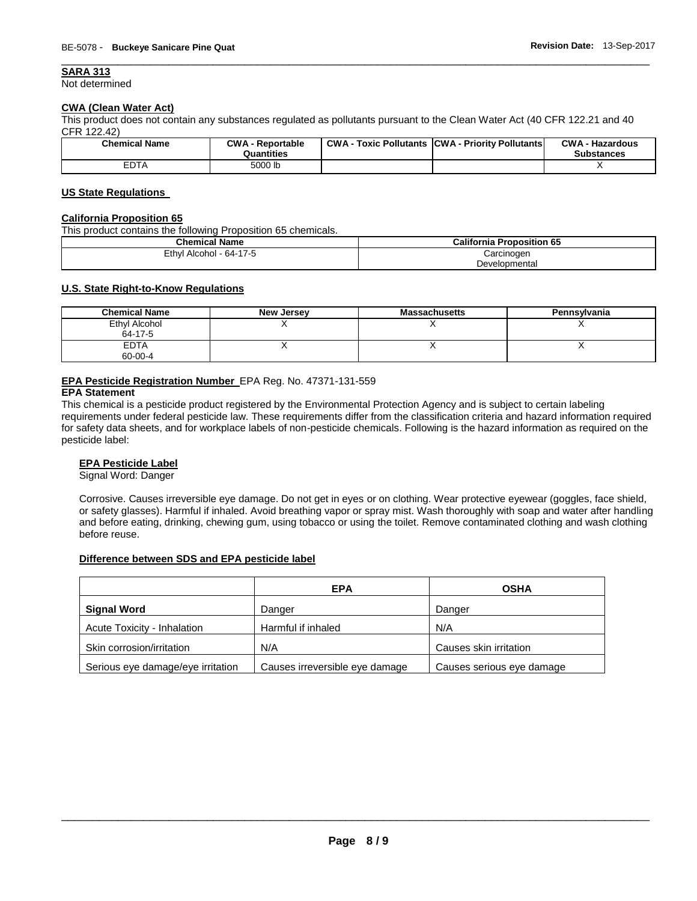#### **SARA 313**

Not determined

## **CWA (Clean Water Act)**

This product does not contain any substances regulated as pollutants pursuant to the Clean Water Act (40 CFR 122.21 and 40 CFR 122.42)

| <b>Chemical Name</b> | <b>CWA - Reportable</b><br>Quantities | CWA-<br>· Toxic Pollutants | CWA - Priority Pollutants | <b>CWA - Hazardous</b><br><b>Substances</b> |
|----------------------|---------------------------------------|----------------------------|---------------------------|---------------------------------------------|
| <b>EDTA</b>          | 5000 lb                               |                            |                           | . .                                         |

\_\_\_\_\_\_\_\_\_\_\_\_\_\_\_\_\_\_\_\_\_\_\_\_\_\_\_\_\_\_\_\_\_\_\_\_\_\_\_\_\_\_\_\_\_\_\_\_\_\_\_\_\_\_\_\_\_\_\_\_\_\_\_\_\_\_\_\_\_\_\_\_\_\_\_\_\_\_\_\_\_\_\_\_\_\_\_\_\_\_\_\_\_

#### **US State Regulations**

#### **California Proposition 65**

This product contains the following Proposition 65 chemicals.

| <b>Chemical Name</b>    | <b>California Proposition 65</b> |
|-------------------------|----------------------------------|
| Ethyl Alcohol - 64-17-5 | Carcinogen                       |
|                         | Developmental                    |

#### **U.S. State Right-to-Know Regulations**

| <b>Chemical Name</b>     | New Jersey | <b>Massachusetts</b> | Pennsylvania |
|--------------------------|------------|----------------------|--------------|
| Ethyl Alcohol<br>64-17-5 |            |                      |              |
| <b>EDTA</b><br>60-00-4   |            |                      |              |

#### **EPA Pesticide Registration Number** EPA Reg. No. 47371-131-559

#### **EPA Statement**

This chemical is a pesticide product registered by the Environmental Protection Agency and is subject to certain labeling requirements under federal pesticide law. These requirements differ from the classification criteria and hazard information required for safety data sheets, and for workplace labels of non-pesticide chemicals. Following is the hazard information as required on the pesticide label:

#### **EPA Pesticide Label**

Signal Word: Danger

Corrosive. Causes irreversible eye damage. Do not get in eyes or on clothing. Wear protective eyewear (goggles, face shield, or safety glasses). Harmful if inhaled. Avoid breathing vapor or spray mist. Wash thoroughly with soap and water after handling and before eating, drinking, chewing gum, using tobacco or using the toilet. Remove contaminated clothing and wash clothing before reuse.

#### **Difference between SDS and EPA pesticide label**

|                                   | <b>EPA</b>                     | <b>OSHA</b>               |
|-----------------------------------|--------------------------------|---------------------------|
| <b>Signal Word</b>                | Danger                         | Danger                    |
| Acute Toxicity - Inhalation       | Harmful if inhaled             | N/A                       |
| Skin corrosion/irritation         | N/A                            | Causes skin irritation    |
| Serious eye damage/eye irritation | Causes irreversible eye damage | Causes serious eye damage |